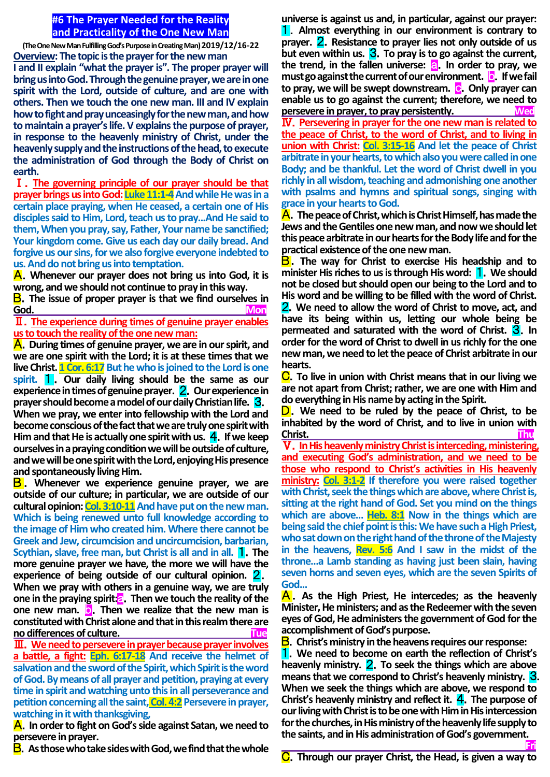## **#6 The Prayer Needed for the Reality and Practicality of the One New Man**

**(The One New Man Fulfilling God's Purpose in Creating Man) 2019/12/16-22 Overview: The topic is the prayer for the new man I and II explain "what the prayer is". The proper prayer will bring us into God. Through the genuine prayer, we are in one spirit with the Lord, outside of culture, and are one with others. Then we touch the one new man. III and IV explain**  how to fight and pray unceasingly for the new man, and how **to maintain a prayer's life. V explains the purpose of prayer, in response to the heavenly ministry of Christ, under the heavenly supply and the instructions of the head, to execute the administration of God through the Body of Christ on earth.** 

Ⅰ.**The governing principle of our prayer should be that prayer brings us into God: Luke 11:1-4** And while He was in a **certain place praying, when He ceased, a certain one of His disciples said to Him, Lord, teach us to pray...And He said to them, When you pray, say, Father, Your name be sanctified; Your kingdom come. Give us each day our daily bread. And forgive us our sins, for we also forgive everyone indebted to us. And do not bring us into temptation.**

A.**Whenever our prayer does not bring us into God, it is wrong, and we should not continue to pray in this way.**

**B**. The issue of proper prayer is that we find ourselves in God. **God.** Mon

Ⅱ.**The experience during times of genuine prayer enables us to touch the reality of the one new man:**

A.**During times of genuine prayer, we are in our spirit, and we are one spirit with the Lord; it is at these times that we live Christ. 1 Cor. 6:17** But he who is joined to the Lord is one **spirit.** 1 . **Our daily living should be the same as our experience in times of genuine prayer.** 2.**Our experience in prayer should become a model of our daily Christian life.** 3. **When we pray, we enter into fellowship with the Lord and become conscious of the fact that we are truly one spirit with Him and that He is actually one spirit with us.** 4.**If we keep ourselves in a praying condition we will be outside of culture, and we will be one spirit with the Lord, enjoying His presence and spontaneously living Him.**

B . **Whenever we experience genuine prayer, we are outside of our culture; in particular, we are outside of our**  cultural opinion: Col. 3:10-11 And have put on the new man. **Which is being renewed unto full knowledge according to the image of Him who created him. Where there cannot be Greek and Jew, circumcision and uncircumcision, barbarian, Scythian, slave, free man, but Christ is all and in all. 1. The more genuine prayer we have, the more we will have the experience of being outside of our cultural opinion.** 2. **When we pray with others in a genuine way, we are truly one in the praying spirit:**a.**Then we touch the reality of the one new man.** b.**Then we realize that the new man is constituted with Christ alone and that in this realm there are no differences of culture.** 

Ⅲ.**We need to persevere in prayer because prayer involves a battle, a fight: Eph. 6:17-18 And receive the helmet of salvation and the sword of the Spirit, which Spirit is the word of God. By means of all prayer and petition, praying at every time in spirit and watching unto this in all perseverance and petition concerning all the saint, Col. 4:2 Persevere in prayer, watching in it with thanksgiving,**

A.**In order to fight on God's side against Satan, we need to persevere in prayer.**

B.**As those who take sides with God, we find that the whole** 

**universe is against us and, in particular, against our prayer:**  1.**Almost everything in our environment is contrary to prayer.** 2.**Resistance to prayer lies not only outside of us but even within us.** 3.**To pray is to go against the current, the trend, in the fallen universe: a. In order to pray, we must go against the current of our environment. D**. If we fail **to pray, we will be swept downstream.** c.**Only prayer can enable us to go against the current; therefore, we need to persevere in prayer, to pray persistently.** Ⅳ.**Persevering in prayer for the one new man is related to the peace of Christ, to the word of Christ, and to living in union with Christ: Col. 3:15-16 And let the peace of Christ arbitrate in your hearts, to which also you were called in one Body; and be thankful. Let the word of Christ dwell in you richly in all wisdom, teaching and admonishing one another with psalms and hymns and spiritual songs, singing with grace in your hearts to God.**

A.**The peace of Christ, which is Christ Himself, has made the Jews and the Gentiles one new man, and now we should let this peace arbitrate in our hearts for the Body life and for the practical existence of the one new man.**

B.**The way for Christ to exercise His headship and to minister His riches to us is through His word:** 1.**We should not be closed but should open our being to the Lord and to His word and be willing to be filled with the word of Christ.**  2.**We need to allow the word of Christ to move, act, and have its being within us, letting our whole being be permeated and saturated with the word of Christ.** 3.**In order for the word of Christ to dwell in us richly for the one new man, we need to let the peace of Christ arbitrate in our hearts.**

C.**To live in union with Christ means that in our living we are not apart from Christ; rather, we are one with Him and do everything in His name by acting in the Spirit.**

D.**We need to be ruled by the peace of Christ, to be inhabited by the word of Christ, and to live in union with Christ. Thu**

Ⅴ.**In His heavenly ministry Christ is interceding, ministering, and executing God's administration, and we need to be those who respond to Christ's activities in His heavenly ministry: Col. 3:1-2 If therefore you were raised together with Christ, seek the things which are above, where Christ is, sitting at the right hand of God. Set you mind on the things which are above… Heb. 8:1 Now in the things which are being said the chief point is this: We have such a High Priest, who sat down on the right hand of the throne of the Majesty in the heavens, Rev. 5:6 And I saw in the midst of the throne…a Lamb standing as having just been slain, having seven horns and seven eyes, which are the seven Spirits of God...**

A .**As the High Priest, He intercedes; as the heavenly Minister, He ministers; and as the Redeemer with the seven eyes of God, He administers the government of God for the accomplishment of God's purpose.**

B.**Christ's ministry in the heavens requires our response:**

1.**We need to become on earth the reflection of Christ's heavenly ministry.** 2.**To seek the things which are above means that we correspond to Christ's heavenly ministry.** 3. **When we seek the things which are above, we respond to Christ's heavenly ministry and reflect it.** 4.**The purpose of our living with Christ is to be one with Him in His intercession for the churches, in His ministry of the heavenly life supply to the saints, and in His administration of God's government.**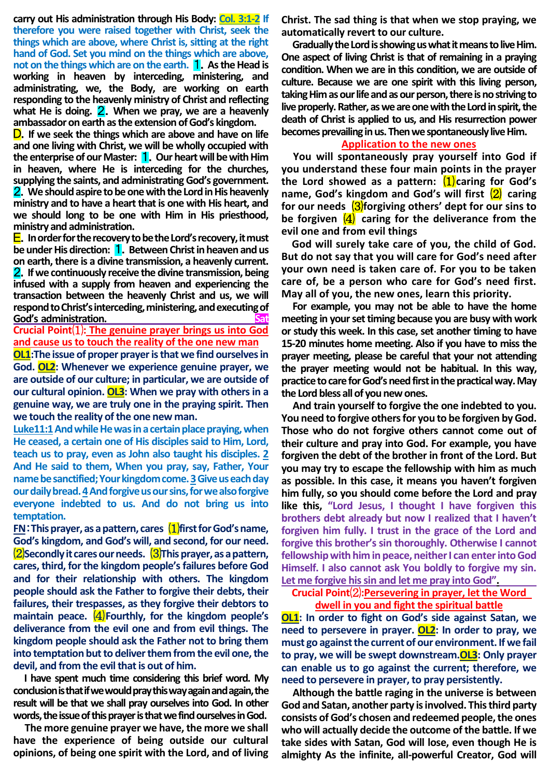**carry out His administration through His Body: Col. 3:1-2 If therefore you were raised together with Christ, seek the things which are above, where Christ is, sitting at the right hand of God. Set you mind on the things which are above, not on the things which are on the earth.** 1.**As the Head is working in heaven by interceding, ministering, and administrating, we, the Body, are working on earth responding to the heavenly ministry of Christ and reflecting what He is doing.** 2.**When we pray, we are a heavenly ambassador on earth as the extension of God's kingdom.**

D.**If we seek the things which are above and have on life and one living with Christ, we will be wholly occupied with the enterprise of our Master:** 1.**Our heart will be with Him in heaven, where He is interceding for the churches, supplying the saints, and administrating God's government.**  2.**We should aspire to be one with the Lord in His heavenly ministry and to have a heart that is one with His heart, and we should long to be one with Him in His priesthood, ministry and administration.**

E.**In order for the recovery to be the Lord's recovery, it must be under His direction:** 1.**Between Christ in heaven and us on earth, there is a divine transmission, a heavenly current.**  2.**If we continuously receive the divine transmission, being infused with a supply from heaven and experiencing the transaction between the heavenly Christ and us, we will respond to Christ's interceding, ministering, and executing of God's administration.** 

**Crucial Point**⑴**: The genuine prayer brings us into God and cause us to touch the reality of the one new man**

**OL1:The issue of proper prayer is that we find ourselves in God. OL2: Whenever we experience genuine prayer, we are outside of our culture; in particular, we are outside of our cultural opinion. OL3: When we pray with others in a genuine way, we are truly one in the praying spirit. Then we touch the reality of the one new man.**

**Luke11:1And while He was in a certain place praying, when He ceased, a certain one of His disciples said to Him, Lord, teach us to pray, even as John also taught his disciples. 2 And He said to them, When you pray, say, Father, Your name be sanctified; Your kingdom come. 3Give us each day our daily bread. 4And forgive us our sins, for we also forgive everyone indebted to us. And do not bring us into temptation.**

**FN**:**This prayer, as a pattern, cares** ⑴**first for God's name, God's kingdom, and God's will, and second, for our need.** ⑵**Secondly it cares our needs.** ⑶**This prayer, as a pattern, cares, third, for the kingdom people's failures before God and for their relationship with others. The kingdom people should ask the Father to forgive their debts, their failures, their trespasses, as they forgive their debtors to maintain peace.** (4) Fourthly, for the kingdom people's **deliverance from the evil one and from evil things. The kingdom people should ask the Father not to bring them into temptation but to deliver them from the evil one, the devil, and from the evil that is out of him.**

**I have spent much time considering this brief word. My conclusion is that ifwe would pray this way again and again, the result will be that we shall pray ourselves into God. In other**  words, the issue of this prayer is that we find ourselves in God.

**The more genuine prayer we have, the more we shall have the experience of being outside our cultural opinions, of being one spirit with the Lord, and of living**  **Christ. The sad thing is that when we stop praying, we automatically revert to our culture.**

**Gradually the Lord is showing us what it means to live Him. One aspect of living Christ is that of remaining in a praying condition. When we are in this condition, we are outside of culture. Because we are one spirit with this living person, taking Him as our life and as our person, there is no striving to**  live properly. Rather, as we are one with the Lord in spirit, the **death of Christ is applied to us, and His resurrection power becomes prevailing in us. Then wespontaneously live Him.**

# **Application to the new ones**

**You will spontaneously pray yourself into God if you understand these four main points in the prayer the Lord showed as a pattern:** ⑴**caring for God's name, God's kingdom and God's will first** ⑵ **caring**  for our needs  $\frac{3}{6}$ forgiving others' dept for our sins to **be forgiven**  $\overline{4}$  caring for the deliverance from the **evil one and from evil things**

**God will surely take care of you, the child of God. But do not say that you will care for God's need after your own need is taken care of. For you to be taken care of, be a person who care for God's need first. May all of you, the new ones, learn this priority.**

**For example, you may not be able to have the home meeting in your set timing because you are busy with work or study this week. In this case, set another timing to have 15-20 minutes home meeting. Also if you have to miss the prayer meeting, please be careful that your not attending the prayer meeting would not be habitual. In this way, practice to care for God's need first in the practical way. May the Lord bless all of you new ones.** 

**And train yourself to forgive the one indebted to you. You need to forgive others for you to be forgiven by God. Those who do not forgive others cannot come out of their culture and pray into God. For example, you have forgiven the debt of the brother in front of the Lord. But you may try to escape the fellowship with him as much as possible. In this case, it means you haven't forgiven him fully, so you should come before the Lord and pray like this, "Lord Jesus, I thought I have forgiven this brothers debt already but now I realized that I haven't forgiven him fully. I trust in the grace of the Lord and forgive this brother's sin thoroughly. Otherwise I cannot fellowship with him in peace, neither I can enter into God Himself. I also cannot ask You boldly to forgive my sin. Let me forgive his sin and let me pray into God".**

**Crucial Point**⑵**:Persevering in prayer, let the Word dwell in you and fight the spiritual battle**

**OL1: In order to fight on God's side against Satan, we need to persevere in prayer. OL2: In order to pray, we must go against the current of our environment. If we fail to pray, we will be swept downstream.OL3: Only prayer can enable us to go against the current; therefore, we need to persevere in prayer, to pray persistently.**

**Although the battle raging in the universe is between God and Satan, another party is involved. This third party consists of God's chosen and redeemed people, the ones who will actually decide the outcome of the battle. If we take sides with Satan, God will lose, even though He is almighty As the infinite, all-powerful Creator, God will**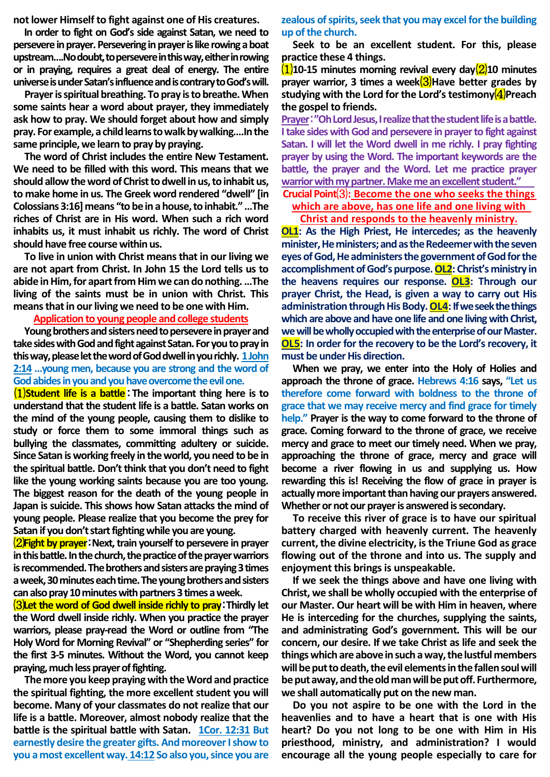**not lower Himself to fight against one of His creatures.**

**In order to fight on God's side against Satan, we need to persevere in prayer. Persevering in prayer is like rowing a boat upstream….Nodoubt, to persevere in this way, either in rowing or in praying, requires a great deal of energy. The entire universe is under Satan's influence and is contrary to God's will.** 

**Prayer is spiritual breathing. To pray is to breathe. When some saints hear a word about prayer, they immediately ask how to pray. We should forget about how and simply pray. For example, a child learns to walk by walking….In the same principle, we learn to pray by praying.**

**The word of Christ includes the entire New Testament. We need to be filled with this word. This means that we should allow the word of Christ to dwell in us, to inhabit us, to make home in us. The Greek word rendered "dwell" [in Colossians 3:16] means "to be in a house, to inhabit." …The riches of Christ are in His word. When such a rich word inhabits us, it must inhabit us richly. The word of Christ should have free course within us.** 

**To live in union with Christ means that in our living we are not apart from Christ. In John 15 the Lord tells us to abide in Him, for apart from Him we can do nothing. …The living of the saints must be in union with Christ. This means that in our living we need to be one with Him.**

## **Application to young people and college students**

**Young brothers and sisters need to persevere in prayer and take sides with God and fight against Satan. For you to pray in this way, please let the word of God dwell in you richly. 1 John 2:14 …young men, because you are strong and the word of God abides in you and you have overcome the evil one.**

⑴**Student life is a battle**:**The important thing here is to understand that the student life is a battle. Satan works on the mind of the young people, causing them to dislike to study or force them to some immoral things such as bullying the classmates, committing adultery or suicide. Since Satan is working freely in the world, you need to be in the spiritual battle. Don't think that you don't need to fight like the young working saints because you are too young. The biggest reason for the death of the young people in Japan is suicide. This shows how Satan attacks the mind of young people. Please realize that you become the prey for Satan if you don't start fighting while you are young.**

⑵**Fight by prayer**:**Next, train yourself to persevere in prayer in this battle. In the church, the practice of the prayer warriors is recommended. The brothers and sisters are praying 3 times a week, 30 minutes each time. The young brothers and sisters can also pray 10 minutes with partners 3 times a week.**

⑶**Let the word of God dwell inside richly to pray**:**Thirdly let the Word dwell inside richly. When you practice the prayer warriors, please pray-read the Word or outline from "The Holy Word for Morning Revival" or "Shepherding series" for the first 3-5 minutes. Without the Word, you cannot keep praying, much less prayer of fighting.**

**The more you keep praying with the Word and practice the spiritual fighting, the more excellent student you will become. Many of your classmates do not realize that our life is a battle. Moreover, almost nobody realize that the battle is the spiritual battle with Satan. 1Cor. 12:31 But earnestly desire the greater gifts. And moreover I show to you a most excellent way. 14:12 So also you, since you are**  **zealous of spirits, seek that you may excel for the building up of the church.**

**Seek to be an excellent student. For this, please practice these 4 things.**

⑴**10-15 minutes morning revival every day**⑵**10 minutes**  prayer warrior, 3 times a week(3) Have better grades by **studying with the Lord for the Lord's testimony(4)Preach the gospel to friends.**

**Prayer**:**"Oh Lord Jesus, I realize that the student life is a battle. I take sides with God and persevere in prayer to fight against Satan. I will let the Word dwell in me richly. I pray fighting prayer by using the Word. The important keywords are the battle, the prayer and the Word. Let me practice prayer warrior with my partner. Make me an excellent student."** 

**Crucial Point**⑶**: Become the one who seeks the things which are above, has one life and one living with Christ and responds to the heavenly ministry.**

**OL1: As the High Priest, He intercedes; as the heavenly minister, He ministers;and as the Redeemer with the seven eyes of God, He administers thegovernment of God for the** 

**accomplishment of God's purpose.OL2: Christ's ministry in the heavens requires our response. OL3: Through our prayer Christ, the Head, is given a way to carry out His** administration through His Body. **OL4**: If we seek the things which are above and have one life and one living with Christ, we will be wholly occupied with the enterprise of our Master. **OL5: In order for the recovery to be the Lord's recovery, it must be under His direction.**

**When we pray, we enter into the Holy of Holies and approach the throne of grace. Hebrews 4:16 says, "Let us therefore come forward with boldness to the throne of grace that we may receive mercy and find grace for timely help." Prayer is the way to come forward to the throne of grace. Coming forward to the throne of grace, we receive mercy and grace to meet our timely need. When we pray, approaching the throne of grace, mercy and grace will become a river flowing in us and supplying us. How rewarding this is! Receiving the flow of grace in prayer is actually more important than having our prayers answered. Whether or not our prayer is answered is secondary.**

**To receive this river of grace is to have our spiritual battery charged with heavenly current. The heavenly current, the divine electricity, is the Triune God as grace flowing out of the throne and into us. The supply and enjoyment this brings is unspeakable.**

**If we seek the things above and have one living with Christ, we shall be wholly occupied with the enterprise of our Master. Our heart will be with Him in heaven, where He is interceding for the churches, supplying the saints, and administrating God's government. This will be our concern, our desire. If we take Christ as life and seek the things which are above in such away, the lustful members**  will be put to death, the evil elements in the fallen soul will **be put away, and the old man will be put off. Furthermore, we shall automatically put on the new man.**

**Do you not aspire to be one with the Lord in the heavenlies and to have a heart that is one with His heart? Do you not long to be one with Him in His priesthood, ministry, and administration? I would encourage all the young people especially to care for**